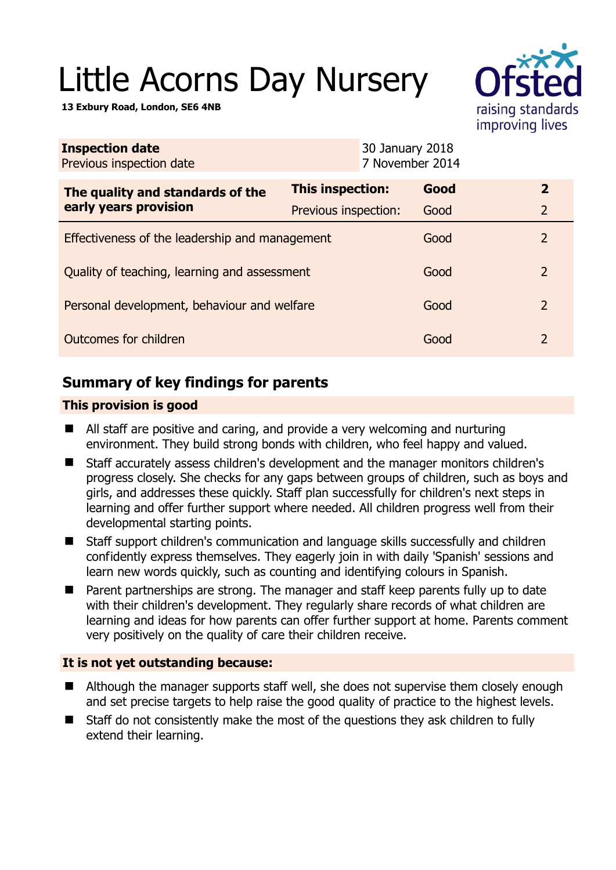# Little Acorns Day Nursery

**13 Exbury Road, London, SE6 4NB** 



| <b>Inspection date</b><br>Previous inspection date        | 30 January 2018      | 7 November 2014 |                |
|-----------------------------------------------------------|----------------------|-----------------|----------------|
| The quality and standards of the<br>early years provision | This inspection:     | Good            | $\overline{2}$ |
|                                                           | Previous inspection: | Good            | $\overline{2}$ |
| Effectiveness of the leadership and management            |                      | Good            | 2              |
| Quality of teaching, learning and assessment              |                      | Good            | 2              |
| Personal development, behaviour and welfare               |                      | Good            | $\mathcal{L}$  |
| Outcomes for children                                     |                      | Good            | 2              |

# **Summary of key findings for parents**

## **This provision is good**

- All staff are positive and caring, and provide a very welcoming and nurturing environment. They build strong bonds with children, who feel happy and valued.
- Staff accurately assess children's development and the manager monitors children's progress closely. She checks for any gaps between groups of children, such as boys and girls, and addresses these quickly. Staff plan successfully for children's next steps in learning and offer further support where needed. All children progress well from their developmental starting points.
- Staff support children's communication and language skills successfully and children confidently express themselves. They eagerly join in with daily 'Spanish' sessions and learn new words quickly, such as counting and identifying colours in Spanish.
- Parent partnerships are strong. The manager and staff keep parents fully up to date with their children's development. They regularly share records of what children are learning and ideas for how parents can offer further support at home. Parents comment very positively on the quality of care their children receive.

## **It is not yet outstanding because:**

- Although the manager supports staff well, she does not supervise them closely enough and set precise targets to help raise the good quality of practice to the highest levels.
- Staff do not consistently make the most of the questions they ask children to fully extend their learning.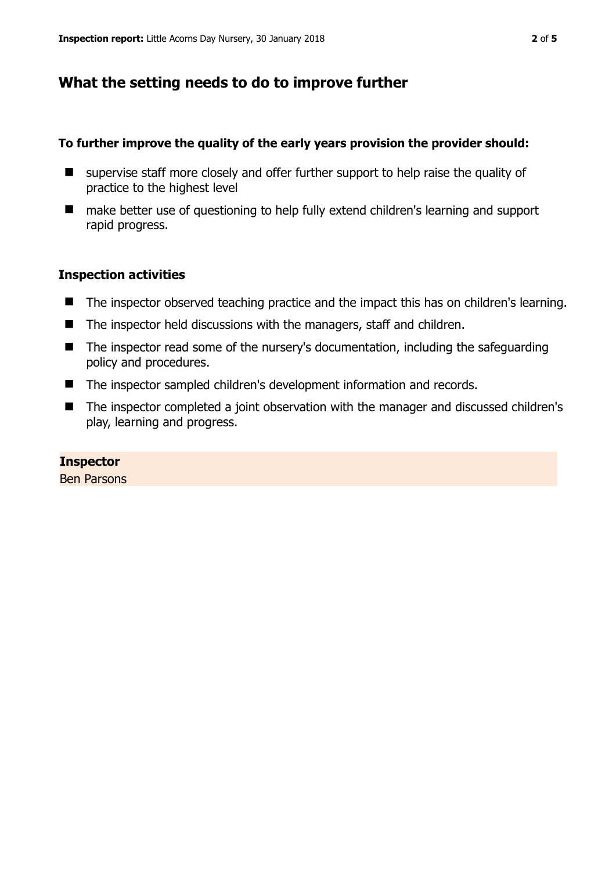## **What the setting needs to do to improve further**

#### **To further improve the quality of the early years provision the provider should:**

- supervise staff more closely and offer further support to help raise the quality of practice to the highest level
- make better use of questioning to help fully extend children's learning and support rapid progress.

#### **Inspection activities**

- The inspector observed teaching practice and the impact this has on children's learning.
- The inspector held discussions with the managers, staff and children.
- The inspector read some of the nursery's documentation, including the safeguarding policy and procedures.
- The inspector sampled children's development information and records.
- The inspector completed a joint observation with the manager and discussed children's play, learning and progress.

#### **Inspector**

Ben Parsons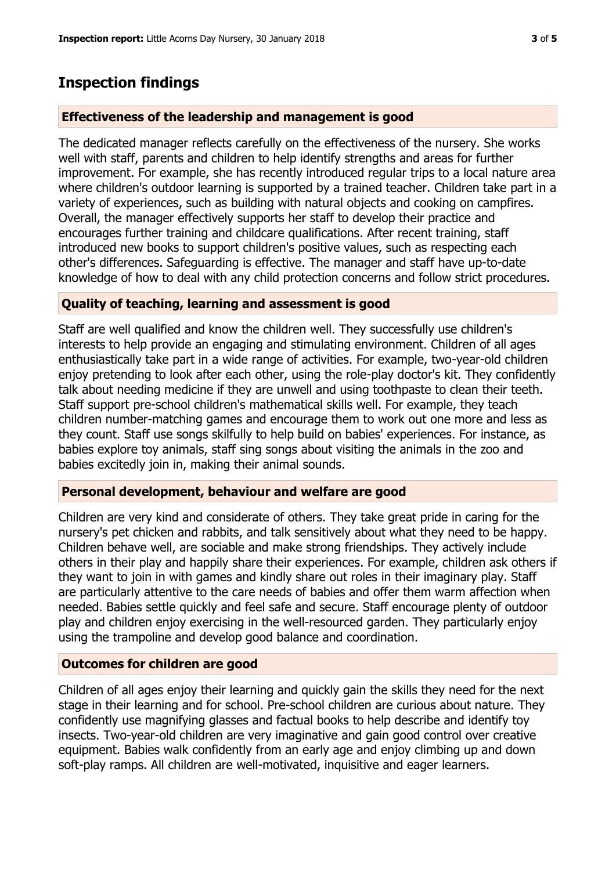# **Inspection findings**

#### **Effectiveness of the leadership and management is good**

The dedicated manager reflects carefully on the effectiveness of the nursery. She works well with staff, parents and children to help identify strengths and areas for further improvement. For example, she has recently introduced regular trips to a local nature area where children's outdoor learning is supported by a trained teacher. Children take part in a variety of experiences, such as building with natural objects and cooking on campfires. Overall, the manager effectively supports her staff to develop their practice and encourages further training and childcare qualifications. After recent training, staff introduced new books to support children's positive values, such as respecting each other's differences. Safeguarding is effective. The manager and staff have up-to-date knowledge of how to deal with any child protection concerns and follow strict procedures.

#### **Quality of teaching, learning and assessment is good**

Staff are well qualified and know the children well. They successfully use children's interests to help provide an engaging and stimulating environment. Children of all ages enthusiastically take part in a wide range of activities. For example, two-year-old children enjoy pretending to look after each other, using the role-play doctor's kit. They confidently talk about needing medicine if they are unwell and using toothpaste to clean their teeth. Staff support pre-school children's mathematical skills well. For example, they teach children number-matching games and encourage them to work out one more and less as they count. Staff use songs skilfully to help build on babies' experiences. For instance, as babies explore toy animals, staff sing songs about visiting the animals in the zoo and babies excitedly join in, making their animal sounds.

#### **Personal development, behaviour and welfare are good**

Children are very kind and considerate of others. They take great pride in caring for the nursery's pet chicken and rabbits, and talk sensitively about what they need to be happy. Children behave well, are sociable and make strong friendships. They actively include others in their play and happily share their experiences. For example, children ask others if they want to join in with games and kindly share out roles in their imaginary play. Staff are particularly attentive to the care needs of babies and offer them warm affection when needed. Babies settle quickly and feel safe and secure. Staff encourage plenty of outdoor play and children enjoy exercising in the well-resourced garden. They particularly enjoy using the trampoline and develop good balance and coordination.

## **Outcomes for children are good**

Children of all ages enjoy their learning and quickly gain the skills they need for the next stage in their learning and for school. Pre-school children are curious about nature. They confidently use magnifying glasses and factual books to help describe and identify toy insects. Two-year-old children are very imaginative and gain good control over creative equipment. Babies walk confidently from an early age and enjoy climbing up and down soft-play ramps. All children are well-motivated, inquisitive and eager learners.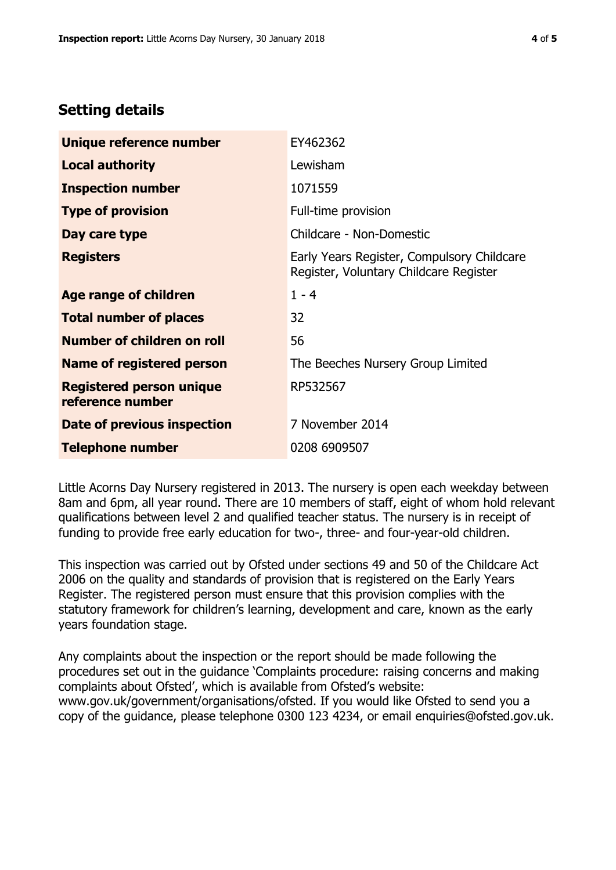## **Setting details**

| Unique reference number                             | EY462362                                                                             |  |
|-----------------------------------------------------|--------------------------------------------------------------------------------------|--|
| <b>Local authority</b>                              | Lewisham                                                                             |  |
| <b>Inspection number</b>                            | 1071559                                                                              |  |
| <b>Type of provision</b>                            | Full-time provision                                                                  |  |
| Day care type                                       | Childcare - Non-Domestic                                                             |  |
| <b>Registers</b>                                    | Early Years Register, Compulsory Childcare<br>Register, Voluntary Childcare Register |  |
| Age range of children                               | $1 - 4$                                                                              |  |
| <b>Total number of places</b>                       | 32                                                                                   |  |
| Number of children on roll                          | 56                                                                                   |  |
| <b>Name of registered person</b>                    | The Beeches Nursery Group Limited                                                    |  |
| <b>Registered person unique</b><br>reference number | RP532567                                                                             |  |
| Date of previous inspection                         | 7 November 2014                                                                      |  |
| <b>Telephone number</b>                             | 0208 6909507                                                                         |  |

Little Acorns Day Nursery registered in 2013. The nursery is open each weekday between 8am and 6pm, all year round. There are 10 members of staff, eight of whom hold relevant qualifications between level 2 and qualified teacher status. The nursery is in receipt of funding to provide free early education for two-, three- and four-year-old children.

This inspection was carried out by Ofsted under sections 49 and 50 of the Childcare Act 2006 on the quality and standards of provision that is registered on the Early Years Register. The registered person must ensure that this provision complies with the statutory framework for children's learning, development and care, known as the early years foundation stage.

Any complaints about the inspection or the report should be made following the procedures set out in the guidance 'Complaints procedure: raising concerns and making complaints about Ofsted', which is available from Ofsted's website: www.gov.uk/government/organisations/ofsted. If you would like Ofsted to send you a copy of the guidance, please telephone 0300 123 4234, or email enquiries@ofsted.gov.uk.